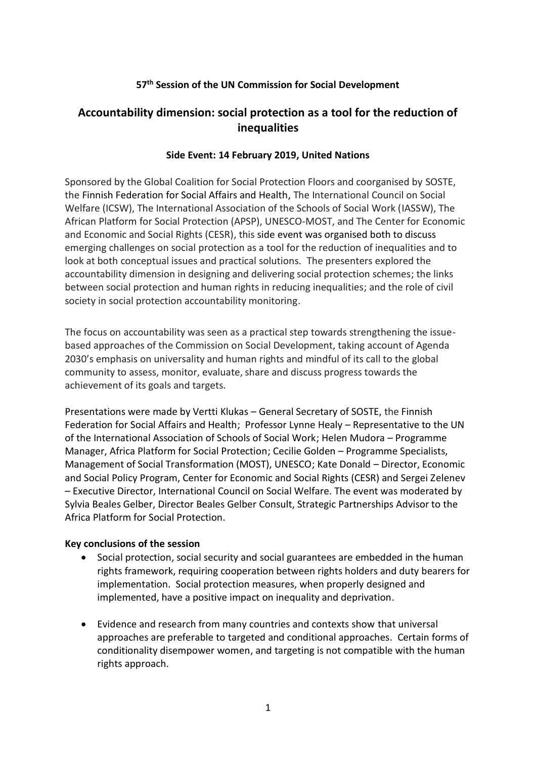# **57th Session of the UN Commission for Social Development**

# **Accountability dimension: social protection as a tool for the reduction of inequalities**

## **Side Event: 14 February 2019, United Nations**

Sponsored by the Global Coalition for Social Protection Floors and coorganised by SOSTE, the Finnish Federation for Social Affairs and Health, The International Council on Social Welfare (ICSW), The International Association of the Schools of Social Work (IASSW), The African Platform for Social Protection (APSP), UNESCO-MOST, and The Center for Economic and Economic and Social Rights (CESR), this side event was organised both to discuss emerging challenges on social protection as a tool for the reduction of inequalities and to look at both conceptual issues and practical solutions. The presenters explored the accountability dimension in designing and delivering social protection schemes; the links between social protection and human rights in reducing inequalities; and the role of civil society in social protection accountability monitoring.

The focus on accountability was seen as a practical step towards strengthening the issuebased approaches of the Commission on Social Development, taking account of Agenda 2030's emphasis on universality and human rights and mindful of its call to the global community to assess, monitor, evaluate, share and discuss progress towards the achievement of its goals and targets.

Presentations were made by Vertti Klukas – General Secretary of SOSTE, the Finnish Federation for Social Affairs and Health; Professor Lynne Healy – Representative to the UN of the International Association of Schools of Social Work; Helen Mudora – Programme Manager, Africa Platform for Social Protection; Cecilie Golden – Programme Specialists, Management of Social Transformation (MOST), UNESCO; Kate Donald – Director, Economic and Social Policy Program, Center for Economic and Social Rights (CESR) and Sergei Zelenev – Executive Director, International Council on Social Welfare. The event was moderated by Sylvia Beales Gelber, Director Beales Gelber Consult, Strategic Partnerships Advisor to the Africa Platform for Social Protection.

#### **Key conclusions of the session**

- Social protection, social security and social guarantees are embedded in the human rights framework, requiring cooperation between rights holders and duty bearers for implementation. Social protection measures, when properly designed and implemented, have a positive impact on inequality and deprivation.
- Evidence and research from many countries and contexts show that universal approaches are preferable to targeted and conditional approaches. Certain forms of conditionality disempower women, and targeting is not compatible with the human rights approach.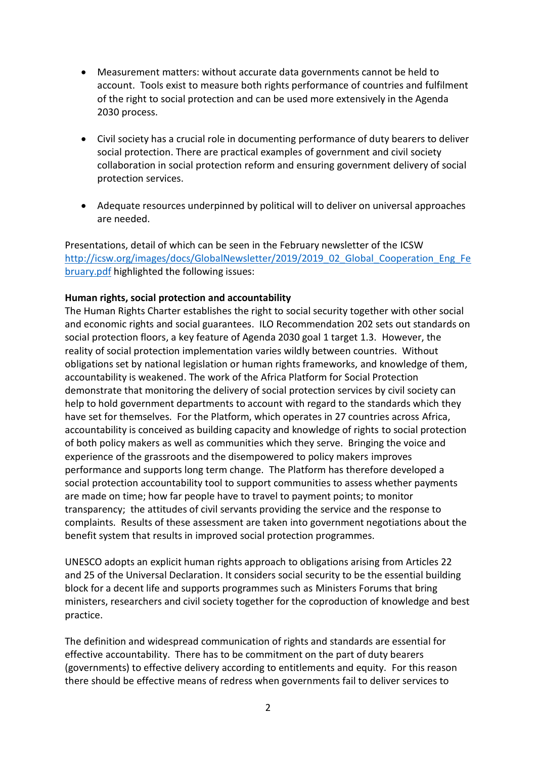- Measurement matters: without accurate data governments cannot be held to account. Tools exist to measure both rights performance of countries and fulfilment of the right to social protection and can be used more extensively in the Agenda 2030 process.
- Civil society has a crucial role in documenting performance of duty bearers to deliver social protection. There are practical examples of government and civil society collaboration in social protection reform and ensuring government delivery of social protection services.
- Adequate resources underpinned by political will to deliver on universal approaches are needed.

Presentations, detail of which can be seen in the February newsletter of the ICSW [http://icsw.org/images/docs/GlobalNewsletter/2019/2019\\_02\\_Global\\_Cooperation\\_Eng\\_Fe](http://icsw.org/images/docs/GlobalNewsletter/2019/2019_02_Global_Cooperation_Eng_February.pdf) [bruary.pdf](http://icsw.org/images/docs/GlobalNewsletter/2019/2019_02_Global_Cooperation_Eng_February.pdf) highlighted the following issues:

## **Human rights, social protection and accountability**

The Human Rights Charter establishes the right to social security together with other social and economic rights and social guarantees. ILO Recommendation 202 sets out standards on social protection floors, a key feature of Agenda 2030 goal 1 target 1.3. However, the reality of social protection implementation varies wildly between countries. Without obligations set by national legislation or human rights frameworks, and knowledge of them, accountability is weakened. The work of the Africa Platform for Social Protection demonstrate that monitoring the delivery of social protection services by civil society can help to hold government departments to account with regard to the standards which they have set for themselves. For the Platform, which operates in 27 countries across Africa, accountability is conceived as building capacity and knowledge of rights to social protection of both policy makers as well as communities which they serve. Bringing the voice and experience of the grassroots and the disempowered to policy makers improves performance and supports long term change. The Platform has therefore developed a social protection accountability tool to support communities to assess whether payments are made on time; how far people have to travel to payment points; to monitor transparency; the attitudes of civil servants providing the service and the response to complaints. Results of these assessment are taken into government negotiations about the benefit system that results in improved social protection programmes.

UNESCO adopts an explicit human rights approach to obligations arising from Articles 22 and 25 of the Universal Declaration. It considers social security to be the essential building block for a decent life and supports programmes such as Ministers Forums that bring ministers, researchers and civil society together for the coproduction of knowledge and best practice.

The definition and widespread communication of rights and standards are essential for effective accountability. There has to be commitment on the part of duty bearers (governments) to effective delivery according to entitlements and equity. For this reason there should be effective means of redress when governments fail to deliver services to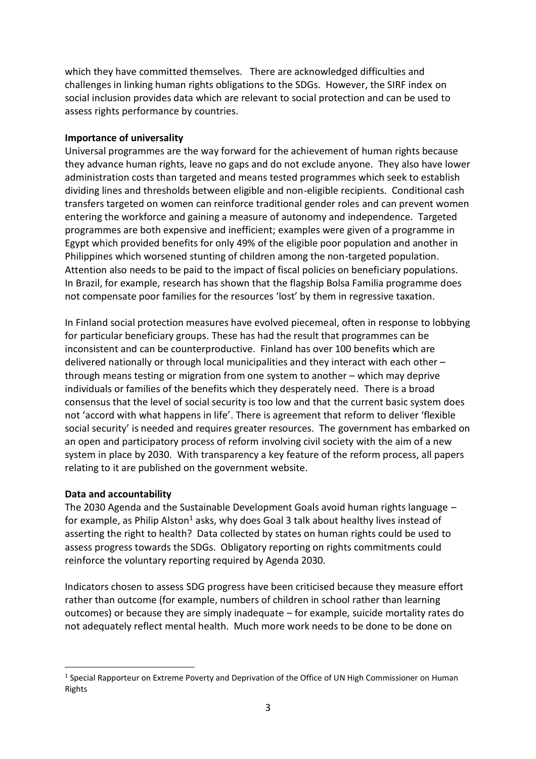which they have committed themselves. There are acknowledged difficulties and challenges in linking human rights obligations to the SDGs. However, the SIRF index on social inclusion provides data which are relevant to social protection and can be used to assess rights performance by countries.

#### **Importance of universality**

Universal programmes are the way forward for the achievement of human rights because they advance human rights, leave no gaps and do not exclude anyone. They also have lower administration costs than targeted and means tested programmes which seek to establish dividing lines and thresholds between eligible and non-eligible recipients. Conditional cash transfers targeted on women can reinforce traditional gender roles and can prevent women entering the workforce and gaining a measure of autonomy and independence. Targeted programmes are both expensive and inefficient; examples were given of a programme in Egypt which provided benefits for only 49% of the eligible poor population and another in Philippines which worsened stunting of children among the non-targeted population. Attention also needs to be paid to the impact of fiscal policies on beneficiary populations. In Brazil, for example, research has shown that the flagship Bolsa Familia programme does not compensate poor families for the resources 'lost' by them in regressive taxation.

In Finland social protection measures have evolved piecemeal, often in response to lobbying for particular beneficiary groups. These has had the result that programmes can be inconsistent and can be counterproductive. Finland has over 100 benefits which are delivered nationally or through local municipalities and they interact with each other – through means testing or migration from one system to another – which may deprive individuals or families of the benefits which they desperately need. There is a broad consensus that the level of social security is too low and that the current basic system does not 'accord with what happens in life'. There is agreement that reform to deliver 'flexible social security' is needed and requires greater resources. The government has embarked on an open and participatory process of reform involving civil society with the aim of a new system in place by 2030. With transparency a key feature of the reform process, all papers relating to it are published on the government website.

# **Data and accountability**

 $\overline{a}$ 

The 2030 Agenda and the Sustainable Development Goals avoid human rights language – for example, as Philip Alston<sup>1</sup> asks, why does Goal 3 talk about healthy lives instead of asserting the right to health? Data collected by states on human rights could be used to assess progress towards the SDGs. Obligatory reporting on rights commitments could reinforce the voluntary reporting required by Agenda 2030.

Indicators chosen to assess SDG progress have been criticised because they measure effort rather than outcome (for example, numbers of children in school rather than learning outcomes) or because they are simply inadequate – for example, suicide mortality rates do not adequately reflect mental health. Much more work needs to be done to be done on

<sup>&</sup>lt;sup>1</sup> Special Rapporteur on Extreme Poverty and Deprivation of the Office of UN High Commissioner on Human Rights